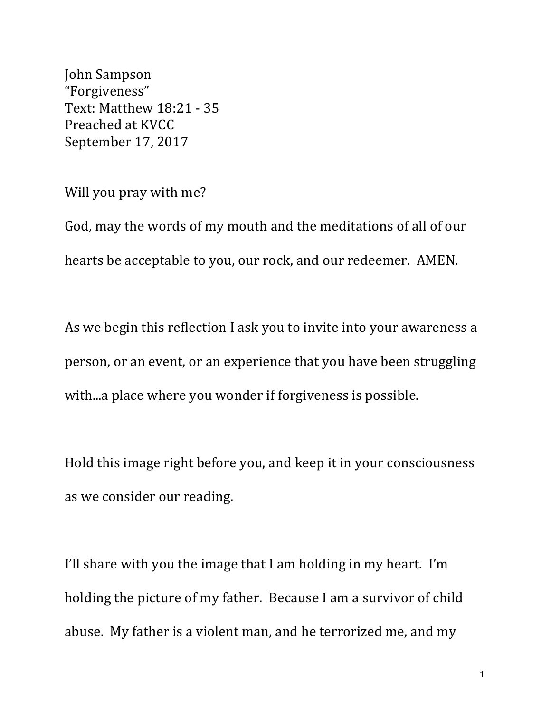John Sampson "Forgiveness" Text: Matthew 18:21 - 35 Preached at KVCC September 17, 2017

Will you pray with me?

God, may the words of my mouth and the meditations of all of our hearts be acceptable to you, our rock, and our redeemer. AMEN.

As we begin this reflection I ask you to invite into your awareness a person, or an event, or an experience that you have been struggling with...a place where you wonder if forgiveness is possible.

Hold this image right before you, and keep it in your consciousness as we consider our reading.

I'll share with you the image that I am holding in my heart. I'm holding the picture of my father. Because I am a survivor of child abuse. My father is a violent man, and he terrorized me, and my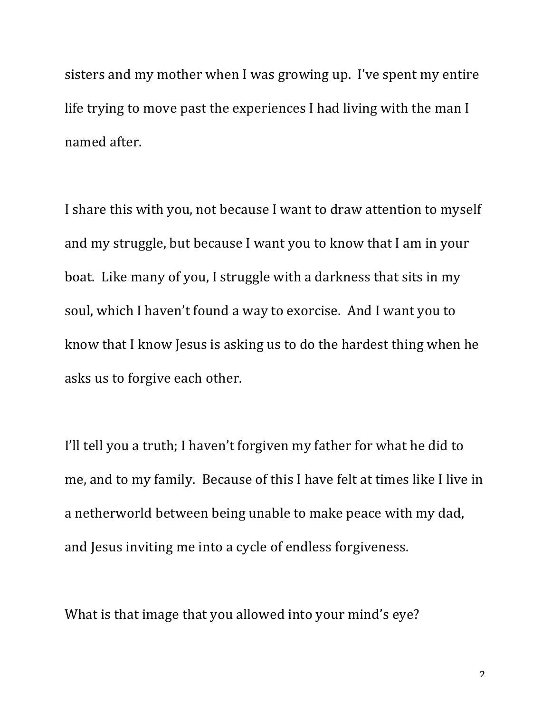sisters and my mother when I was growing up. I've spent my entire life trying to move past the experiences I had living with the man I named after.

I share this with you, not because I want to draw attention to myself and my struggle, but because I want you to know that I am in your boat. Like many of you, I struggle with a darkness that sits in my soul, which I haven't found a way to exorcise. And I want you to know that I know Jesus is asking us to do the hardest thing when he asks us to forgive each other.

I'll tell you a truth; I haven't forgiven my father for what he did to me, and to my family. Because of this I have felt at times like I live in a netherworld between being unable to make peace with my dad, and Jesus inviting me into a cycle of endless forgiveness.

What is that image that you allowed into your mind's eve?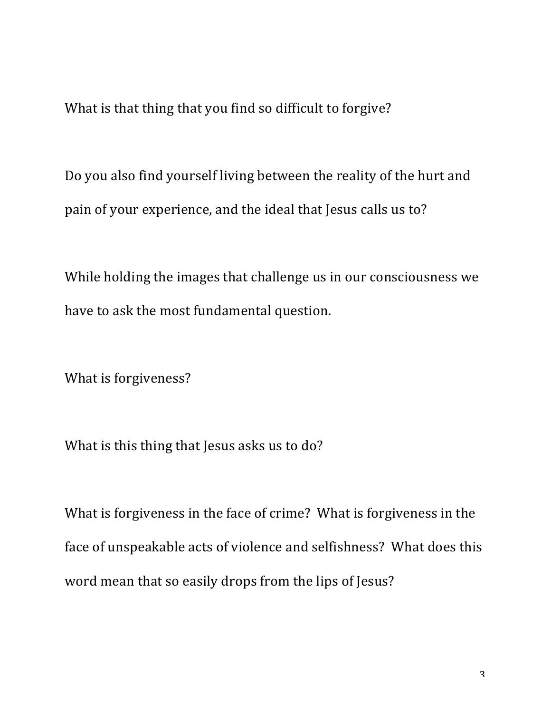What is that thing that you find so difficult to forgive?

Do you also find yourself living between the reality of the hurt and pain of your experience, and the ideal that Jesus calls us to?

While holding the images that challenge us in our consciousness we have to ask the most fundamental question.

What is forgiveness?

What is this thing that Jesus asks us to do?

What is forgiveness in the face of crime? What is forgiveness in the face of unspeakable acts of violence and selfishness? What does this word mean that so easily drops from the lips of Jesus?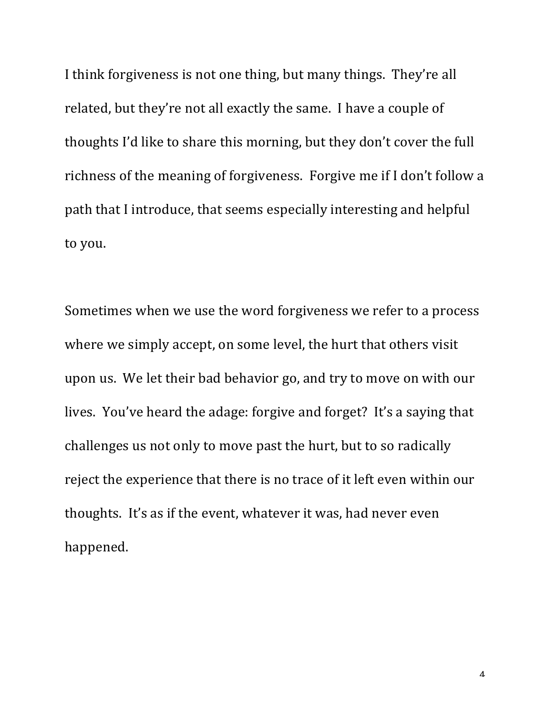I think forgiveness is not one thing, but many things. They're all related, but they're not all exactly the same. I have a couple of thoughts I'd like to share this morning, but they don't cover the full richness of the meaning of forgiveness. Forgive me if I don't follow a path that I introduce, that seems especially interesting and helpful to you.

Sometimes when we use the word forgiveness we refer to a process where we simply accept, on some level, the hurt that others visit upon us. We let their bad behavior go, and try to move on with our lives. You've heard the adage: forgive and forget? It's a saying that challenges us not only to move past the hurt, but to so radically reject the experience that there is no trace of it left even within our thoughts. It's as if the event, whatever it was, had never even happened.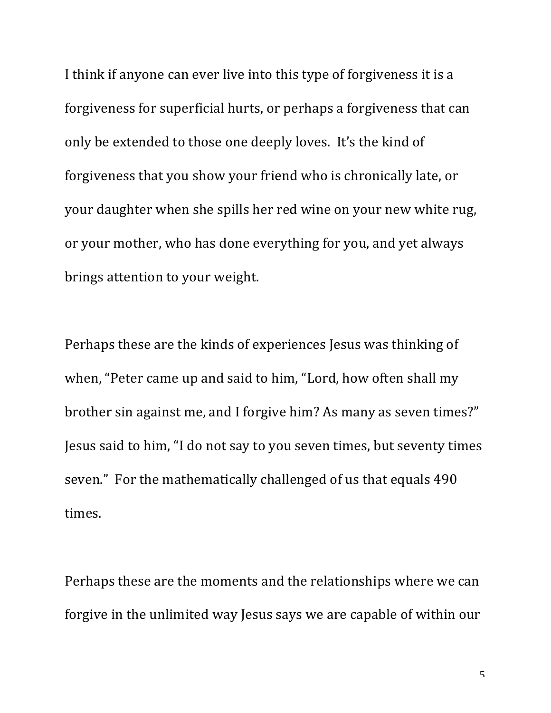I think if anyone can ever live into this type of forgiveness it is a forgiveness for superficial hurts, or perhaps a forgiveness that can only be extended to those one deeply loves. It's the kind of forgiveness that you show your friend who is chronically late, or your daughter when she spills her red wine on your new white rug, or your mother, who has done everything for you, and yet always brings attention to your weight.

Perhaps these are the kinds of experiences Jesus was thinking of when, "Peter came up and said to him, "Lord, how often shall my brother sin against me, and I forgive him? As many as seven times?" Jesus said to him, "I do not say to you seven times, but seventy times seven." For the mathematically challenged of us that equals 490 times.

Perhaps these are the moments and the relationships where we can forgive in the unlimited way Jesus says we are capable of within our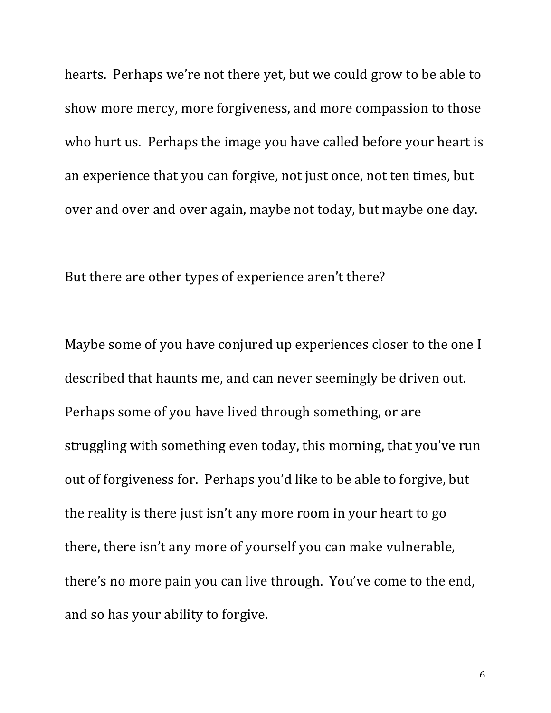hearts. Perhaps we're not there yet, but we could grow to be able to show more mercy, more forgiveness, and more compassion to those who hurt us. Perhaps the image you have called before your heart is an experience that you can forgive, not just once, not ten times, but over and over and over again, maybe not today, but maybe one day.

But there are other types of experience aren't there?

Maybe some of you have conjured up experiences closer to the one I described that haunts me, and can never seemingly be driven out. Perhaps some of you have lived through something, or are struggling with something even today, this morning, that you've run out of forgiveness for. Perhaps you'd like to be able to forgive, but the reality is there just isn't any more room in your heart to go there, there isn't any more of yourself you can make vulnerable, there's no more pain you can live through. You've come to the end, and so has your ability to forgive.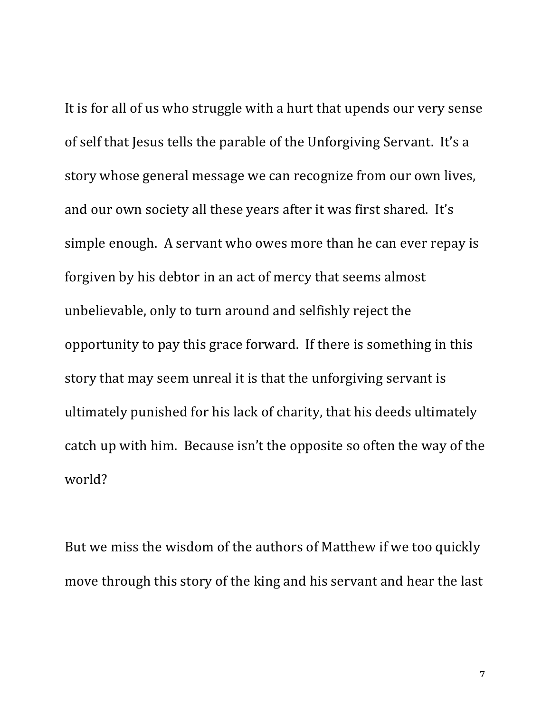It is for all of us who struggle with a hurt that upends our very sense of self that Jesus tells the parable of the Unforgiving Servant. It's a story whose general message we can recognize from our own lives, and our own society all these years after it was first shared. It's simple enough. A servant who owes more than he can ever repay is forgiven by his debtor in an act of mercy that seems almost unbelievable, only to turn around and selfishly reject the opportunity to pay this grace forward. If there is something in this story that may seem unreal it is that the unforgiving servant is ultimately punished for his lack of charity, that his deeds ultimately catch up with him. Because isn't the opposite so often the way of the world?

But we miss the wisdom of the authors of Matthew if we too quickly move through this story of the king and his servant and hear the last

7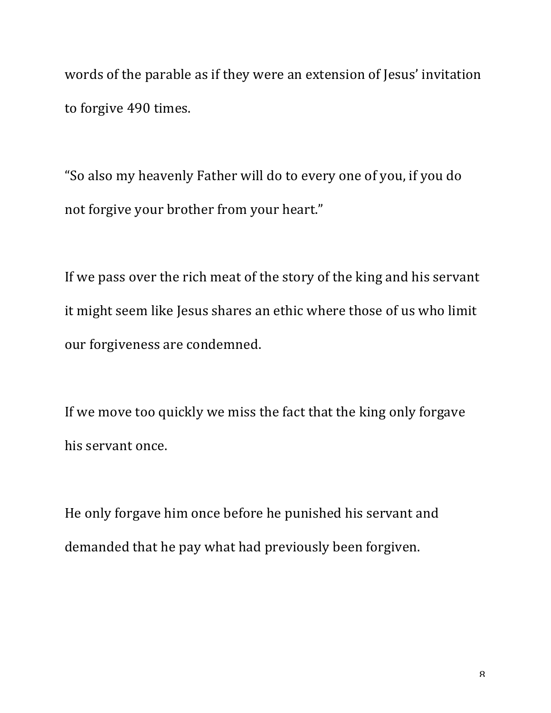words of the parable as if they were an extension of Jesus' invitation to forgive 490 times.

"So also my heavenly Father will do to every one of you, if you do not forgive your brother from your heart."

If we pass over the rich meat of the story of the king and his servant it might seem like Jesus shares an ethic where those of us who limit our forgiveness are condemned.

If we move too quickly we miss the fact that the king only forgave his servant once.

He only forgave him once before he punished his servant and demanded that he pay what had previously been forgiven.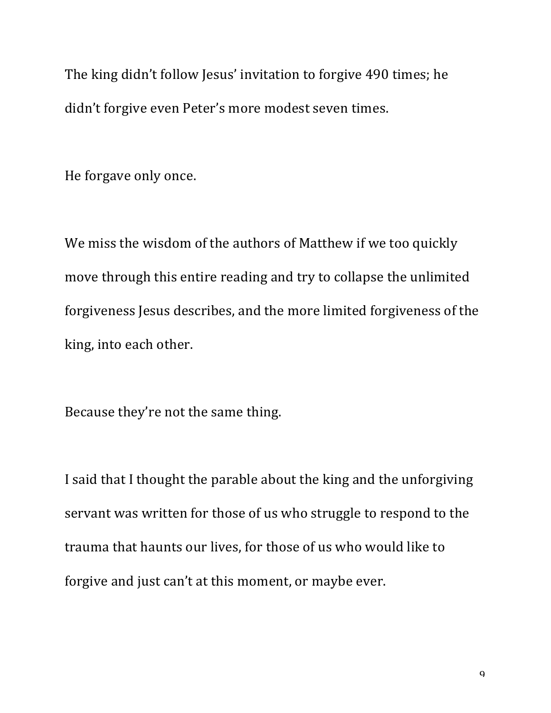The king didn't follow Jesus' invitation to forgive 490 times; he didn't forgive even Peter's more modest seven times.

He forgave only once.

We miss the wisdom of the authors of Matthew if we too quickly move through this entire reading and try to collapse the unlimited forgiveness Jesus describes, and the more limited forgiveness of the king, into each other.

Because they're not the same thing.

I said that I thought the parable about the king and the unforgiving servant was written for those of us who struggle to respond to the trauma that haunts our lives, for those of us who would like to forgive and just can't at this moment, or maybe ever.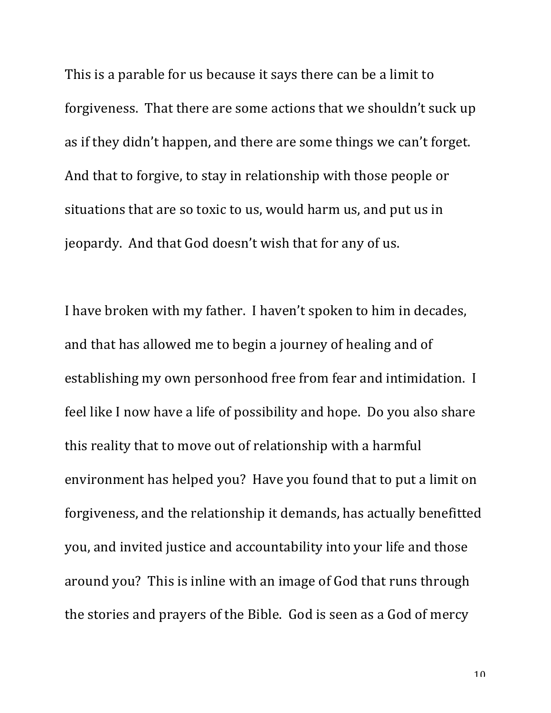This is a parable for us because it says there can be a limit to forgiveness. That there are some actions that we shouldn't suck up as if they didn't happen, and there are some things we can't forget. And that to forgive, to stay in relationship with those people or situations that are so toxic to us, would harm us, and put us in jeopardy. And that God doesn't wish that for any of us.

I have broken with my father. I haven't spoken to him in decades, and that has allowed me to begin a journey of healing and of establishing my own personhood free from fear and intimidation. I feel like I now have a life of possibility and hope. Do you also share this reality that to move out of relationship with a harmful environment has helped you? Have you found that to put a limit on forgiveness, and the relationship it demands, has actually benefitted you, and invited justice and accountability into your life and those around you? This is inline with an image of God that runs through the stories and prayers of the Bible. God is seen as a God of mercy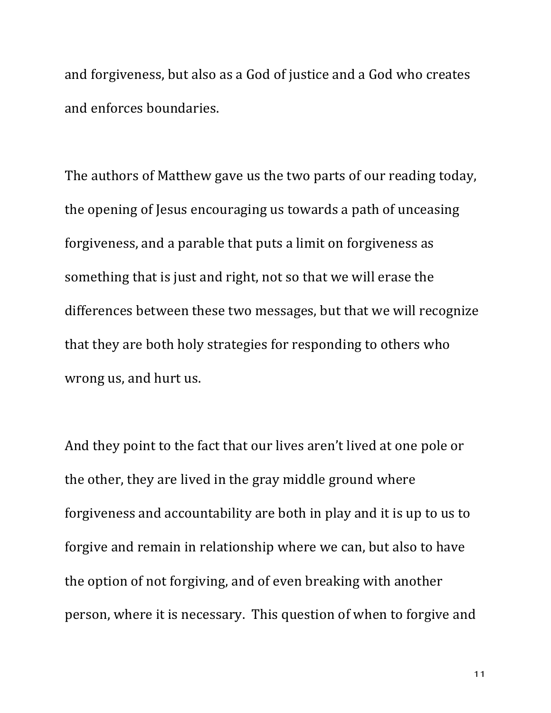and forgiveness, but also as a God of justice and a God who creates and enforces boundaries.

The authors of Matthew gave us the two parts of our reading today, the opening of Jesus encouraging us towards a path of unceasing forgiveness, and a parable that puts a limit on forgiveness as something that is just and right, not so that we will erase the differences between these two messages, but that we will recognize that they are both holy strategies for responding to others who wrong us, and hurt us.

And they point to the fact that our lives aren't lived at one pole or the other, they are lived in the gray middle ground where forgiveness and accountability are both in play and it is up to us to forgive and remain in relationship where we can, but also to have the option of not forgiving, and of even breaking with another person, where it is necessary. This question of when to forgive and

11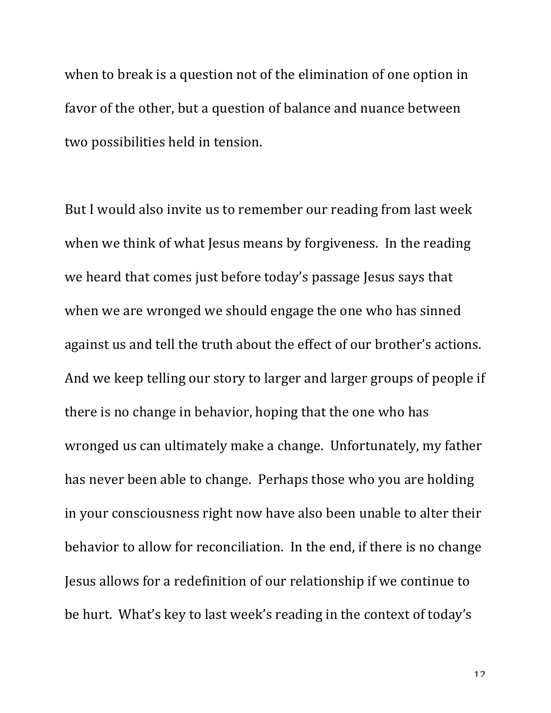when to break is a question not of the elimination of one option in favor of the other, but a question of balance and nuance between two possibilities held in tension.

But I would also invite us to remember our reading from last week when we think of what Jesus means by forgiveness. In the reading we heard that comes just before today's passage Jesus says that when we are wronged we should engage the one who has sinned against us and tell the truth about the effect of our brother's actions. And we keep telling our story to larger and larger groups of people if there is no change in behavior, hoping that the one who has wronged us can ultimately make a change. Unfortunately, my father has never been able to change. Perhaps those who you are holding in your consciousness right now have also been unable to alter their behavior to allow for reconciliation. In the end, if there is no change Jesus allows for a redefinition of our relationship if we continue to be hurt. What's key to last week's reading in the context of today's